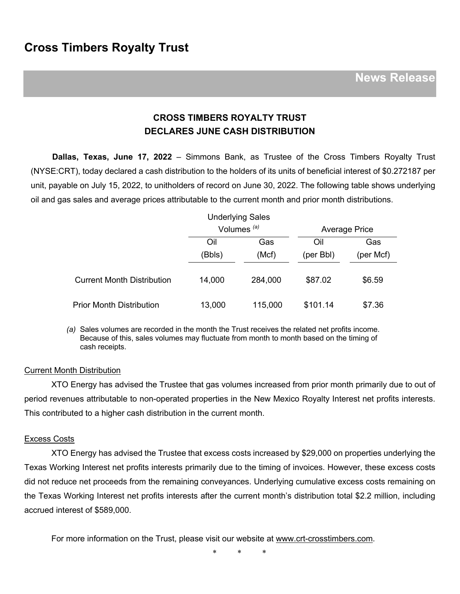## **CROSS TIMBERS ROYALTY TRUST DECLARES JUNE CASH DISTRIBUTION**

**Dallas, Texas, June 17, 2022** – Simmons Bank, as Trustee of the Cross Timbers Royalty Trust (NYSE:CRT), today declared a cash distribution to the holders of its units of beneficial interest of \$0.272187 per unit, payable on July 15, 2022, to unitholders of record on June 30, 2022. The following table shows underlying oil and gas sales and average prices attributable to the current month and prior month distributions.

|                                   |                        | <b>Underlying Sales</b> |                      |           |
|-----------------------------------|------------------------|-------------------------|----------------------|-----------|
|                                   | Volumes <sup>(a)</sup> |                         | <b>Average Price</b> |           |
|                                   | Oil                    | Gas                     | Oil                  | Gas       |
|                                   | (Bbls)                 | (Mcf)                   | (per Bbl)            | (per Mcf) |
| <b>Current Month Distribution</b> | 14,000                 | 284,000                 | \$87.02              | \$6.59    |
| <b>Prior Month Distribution</b>   | 13,000                 | 115,000                 | \$101.14             | \$7.36    |

*(a)* Sales volumes are recorded in the month the Trust receives the related net profits income. Because of this, sales volumes may fluctuate from month to month based on the timing of cash receipts.

## Current Month Distribution

XTO Energy has advised the Trustee that gas volumes increased from prior month primarily due to out of period revenues attributable to non-operated properties in the New Mexico Royalty Interest net profits interests. This contributed to a higher cash distribution in the current month.

## Excess Costs

XTO Energy has advised the Trustee that excess costs increased by \$29,000 on properties underlying the Texas Working Interest net profits interests primarily due to the timing of invoices. However, these excess costs did not reduce net proceeds from the remaining conveyances. Underlying cumulative excess costs remaining on the Texas Working Interest net profits interests after the current month's distribution total \$2.2 million, including accrued interest of \$589,000.

For more information on the Trust, please visit our website at www.crt-crosstimbers.com.

\* \* \*